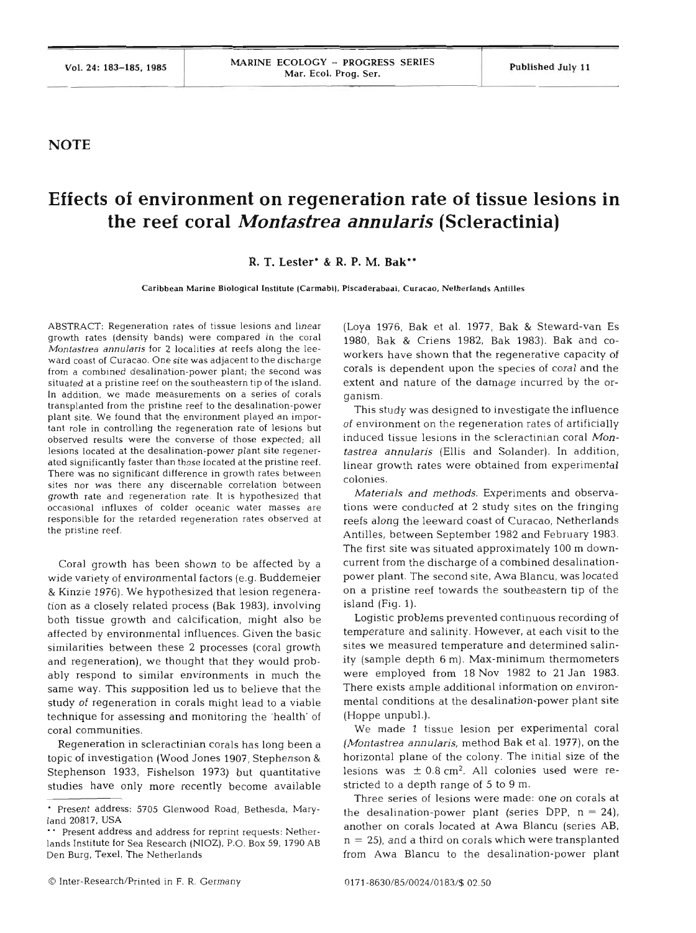## **NOTE**

## **Effects of environment on regeneration rate of tissue lesions in the reef coral** *Montastrea annularis* **(Scleractinia)**

## **R. T. Lester'** & **R. P. M. Bak"**

**Caribbean Marine Biological Institute (Carmabi). Piscaderabaai, Curacao. Netherlands Antilles** 

ABSTRACT: Regeneration rates of tissue lesions and linear growth rates (density bands) were compared in the coral *Montastrea annulans* for *2* localities at reefs along the leeward coast of Curacao. One site was adjacent to the discharge from a combined desalination-power plant; the second was situated at a pristine reef on the southeastern tip of the island. In addition, we made measurements on a series of corals transplanted from the pristine reef to the desalination-power plant site. We found that the environment played an important role in controlling the regeneration rate of lesions but observed results were the converse of those expected; all lesions located at the desalination-power plant site regenerated significantly faster than those located at the pristine reef. There was no significant difference in growth rates between sites nor was there any discernable correlation between growth rate and regeneration rate. It is hypothesized that occasional influxes of colder oceanic water masses are responsible for the retarded regeneration rates observed at the pristine reef.

Coral growth has been shown to be affected by a wide variety of environmental factors (e.g. Buddemeier & Kinzie 1976). We hypothesized that lesion regeneration as a closely related process (Bak 1983), involving both tissue growth and calcification, might also be affected by environmental influences. Given the basic similarities between these 2 processes (coral growth and regeneration), we thought that they would probably respond to similar environments in much the same way. This supposition led us to believe that the study of regeneration in corals might lead to a viable technique for assessing and monitoring the 'health' of coral communities.

Regeneration in scleractinian corals has long been a topic of investigation (Wood Jones 1907, Stephenson & Stephenson 1933, Fishelson 1973) but quantitative studies have only more recently become available (Loya 1976, Bak et al. 1977, Bak & Steward-van Es 1980, Bak & Criens 1982, Bak 1983). Bak and coworkers have shown that the regenerative capacity of corals is dependent upon the species of coral and the extent and nature of the damage incurred by the organism.

This study was designed to investigate the influence of environment on the regeneration rates of artificially induced tissue lesions in the scleractinian coral *Mon*tastrea annularis (Ellis and Solander). In addition, linear growth rates were obtained from experimental colonies.

Materials and methods. Experiments and observations were conducted at 2 study sites on the fringing reefs along the leeward coast of Curacao, Netherlands Antilles, between September 1982 and February 1983. The first site was situated approximately 100 m downcurrent from the discharge of a combined desalinationpower plant. The second site, Awa Blancu, was located on a pristine reef towards the southeastern tip of the island (Fig. 1).

Logistic problems prevented continuous recording of temperature and salinity. However, at each visit to the sites we measured temperature and determined salinity (sample depth 6 m). Max-minimum thermometers were employed from 18 Nov 1982 to 21 Jan 1983. There exists ample additional information on environmental conditions at the desalination-power plant site (Hoppe unpubl.).

We made 1 tissue lesion per experimental coral (Montastrea annularis, method Bak et al. 1977), on the horizontal plane of the colony. The initial size of the lesions was  $\pm$  0.8 cm<sup>2</sup>. All colonies used were restricted to a depth range of 5 to 9 m.

Three series of lesions were made: one on corals at Present address: 5705 Glenwood Road, Bethesda, Mary-<br>land 20817, USA another on corals located at Awa Blancu (series AB, Present address and address for reprint requests: Nether-<br>ands Institute for Sea Research (NIOZ), P.O. Box 59, 1790 AB,  $n = 25$ ), and a third on corals which were transplanted

lands Institute for Sea Research (NIOZ), P.O. Box 59, 1790 AB Den Burg. Texel, The Netherlands from Awa Blancu to the desalination-power plant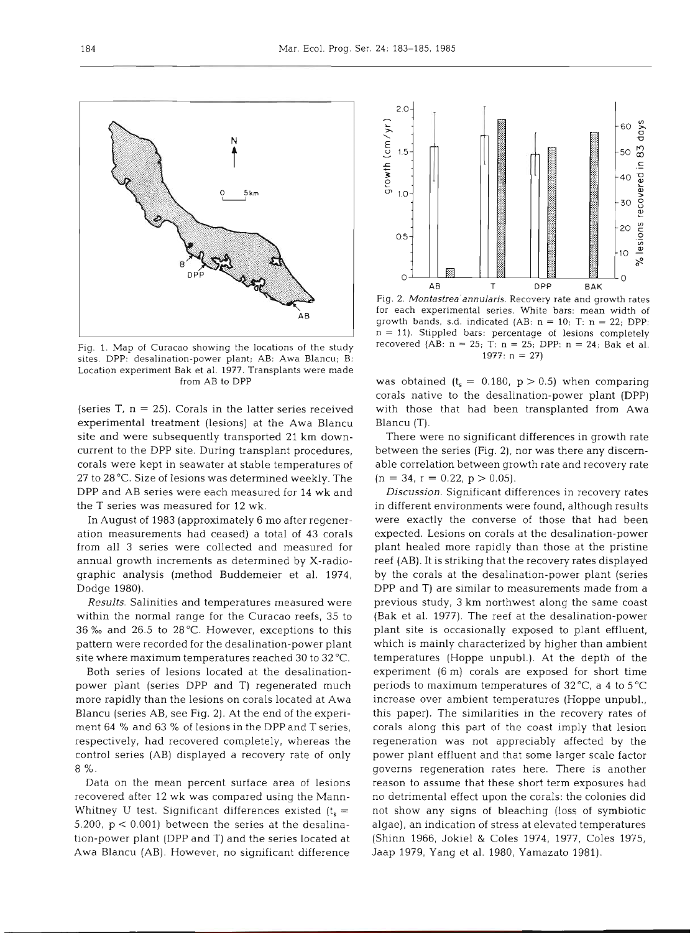

Fig. 1. Map of Curacao showing the locations of the study sites. DPP: desalination-power plant; AB: Awa Blancu; B: Location experiment Bak et al. 1977. Transplants were made from AB to DPP

(series T,  $n = 25$ ). Corals in the latter series received experimental treatment (lesions) at the Awa Blancu site and were subsequently transported 21 km downcurrent to the DPP site. During transplant procedures, corals were kept in seawater at stable temperatures of 27 to 28 "C. Size of lesions was determined weekly. The DPP and AB series were each measured for 14 wk and the T series was measured for 12 wk.

In August of 1983 (approximately 6 mo after regeneration measurements had ceased) a total of 43 corals from all 3 series were collected and measured for annual growth increments as determined by X-radiographic analysis (method Buddemeier et al. 1974, Dodge 1980).

*Results.* Salinities and temperatures measured were within the normal range for the Curacao reefs, 35 to 36 % and 26.5 to 28 °C. However, exceptions to this pattern were recorded for the desalination-power plant site where maximum temperatures reached 30 to 32 "C.

Both series of lesions located at the desalinationpower plant (series DPP and T) regenerated much more rapidly than the lesions on corals located at Awa Blancu (series AB, see Fig. 2). At the end of the experiment 64 % and 63 % of lesions in the DPP and T series, respectively, had recovered completely, whereas the control series (AB) displayed a recovery rate of only 8 %.

Data on the mean percent surface area of lesions recovered after 12 wk was compared using the Mann-Whitney U test. Significant differences existed  $(t_s =$ 5.200,  $p < 0.001$ ) between the series at the desalination-power plant (DPP and T) and the series located at Awa Blancu (AB). However, no significant difference



Fig. 2. *Montastrea'annulans.* Recovery rate and growth rates for each experimental series. White bars: mean width of growth bands, s.d. indicated (AB: n = 10; T: n = 22; DPP:  $n = 11$ ). Stippled bars: percentage of lesions completely recovered (AB:  $n = 25$ ; T:  $n = 25$ ; DPP:  $n = 24$ ; Bak et al. 1977:  $n = 27$ 

was obtained ( $t_s = 0.180$ ,  $p > 0.5$ ) when comparing corals native to the desalination-power plant (DPP) with those that had been transplanted from Awa Blancu (T).

There were no significant differences in growth rate between the series (Fig. 2), nor was there any discernable correlation between growth rate and recovery rate  $(n = 34, r = 0.22, p > 0.05).$ 

**Discussion.** Significant differences in recovery rates in different environments were found, although results were exactly the converse of those that had been expected. Lesions on corals at the desalination-power plant healed more rapidly than those at the pristine reef (AB). It is striking that the recovery rates displayed by the corals at the desalination-power plant (series DPP and T) are similar to measurements made from a previous study, 3 km northwest along the same coast (Bak et al. 1977). The reef at the desalination-power plant site is occasionally exposed to plant effluent, which is mainly characterized by higher than ambient temperatures (Hoppe unpubl.). At the depth of the experiment (6 m) corals are exposed for short time periods to maximum temperatures of  $32^{\circ}$ C, a 4 to  $5^{\circ}$ C increase over ambient temperatures (Hoppe unpubl., this paper). The similarities in the recovery rates of corals along this part of the coast imply that lesion regeneration was not appreciably affected by the power plant effluent and that some larger scale factor governs regeneration rates here. There is another reason to assume that these short term exposures had no detrimental effect upon the corals: the colonies did not show any signs of bleaching (loss of symbiotic algae), an indication of stress at elevated temperatures (Shinn 1966, Jokiel & Coles 1974, 1977, Coles 1975, Jaap 1979, Yang et al. 1980, Yamazato 1981).